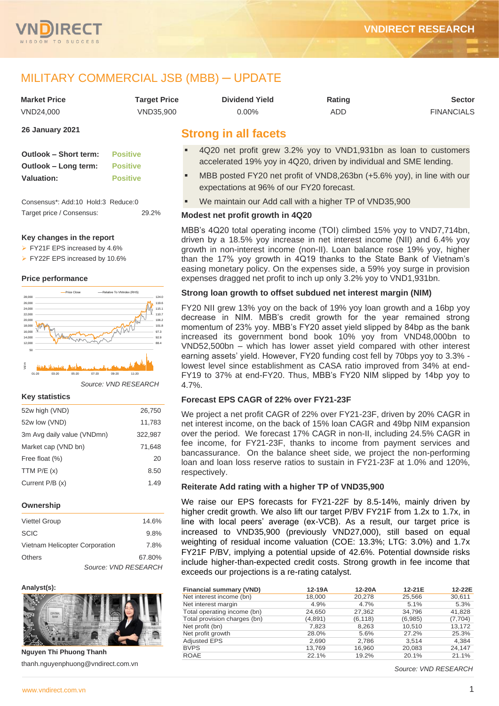

# MILITARY COMMERCIAL JSB (MBB) ─ UPDATE

| <b>Market Price</b>    | <b>Target Price</b> | <b>Dividend Yield</b>       | Rating | <b>Sector</b>     |
|------------------------|---------------------|-----------------------------|--------|-------------------|
| VND24.000              | VND35.900           | 0.00%                       | ADD    | <b>FINANCIALS</b> |
| <b>26 January 2021</b> |                     | <b>Cirona in all focato</b> |        |                   |

| <b>Outlook - Short term: Positive</b> |                 |
|---------------------------------------|-----------------|
| Outlook – Long term:                  | <b>Positive</b> |

**Valuation: Positive**

Consensus\*: Add:10 Hold:3 Reduce:0 Target price / Consensus: 29.2%

## **Key changes in the report**

➢ FY21F EPS increased by 4.6%

➢ FY22F EPS increased by 10.6%

## **Price performance**



*Source: VND RESEARCH*

#### **Key statistics**

| 52w high (VND)             | 26,750  |
|----------------------------|---------|
| 52w low (VND)              | 11,783  |
| 3m Avg daily value (VNDmn) | 322,987 |
| Market cap (VND bn)        | 71,648  |
| Free float (%)             | 20      |
| TTM $P/E(x)$               | 8.50    |
| Current $P/B(x)$           | 1.49    |
|                            |         |

#### **Ownership**

| <b>Viettel Group</b>           | 14.6%  |
|--------------------------------|--------|
| <b>SCIC</b>                    | 9.8%   |
| Vietnam Helicopter Corporation | 7.8%   |
| Others                         | 67.80% |
| Source: VND RESEARCH           |        |

#### **Analyst(s):**



**Nguyen Thi Phuong Thanh** thanh.nguyenphuong@vndirect.com.vn

- 4Q20 net profit grew 3.2% yoy to VND1,931bn as loan to customers accelerated 19% yoy in 4Q20, driven by individual and SME lending.
- MBB posted FY20 net profit of VND8,263bn (+5.6% yoy), in line with our expectations at 96% of our FY20 forecast.
- We maintain our Add call with a higher TP of VND35,900

# **Modest net profit growth in 4Q20**

MBB's 4Q20 total operating income (TOI) climbed 15% yoy to VND7,714bn, driven by a 18.5% yoy increase in net interest income (NII) and 6.4% yoy growth in non-interest income (non-II). Loan balance rose 19% yoy, higher than the 17% yoy growth in 4Q19 thanks to the State Bank of Vietnam's easing monetary policy. On the expenses side, a 59% yoy surge in provision expenses dragged net profit to inch up only 3.2% yoy to VND1,931bn.

# **Strong loan growth to offset subdued net interest margin (NIM)**

FY20 NII grew 13% yoy on the back of 19% yoy loan growth and a 16bp yoy decrease in NIM. MBB's credit growth for the year remained strong momentum of 23% yoy. MBB's FY20 asset yield slipped by 84bp as the bank increased its government bond book 10% yoy from VND48,000bn to VND52,500bn – which has lower asset yield compared with other interest earning assets' yield. However, FY20 funding cost fell by 70bps yoy to 3.3% lowest level since establishment as CASA ratio improved from 34% at end-FY19 to 37% at end-FY20. Thus, MBB's FY20 NIM slipped by 14bp yoy to 4.7%.

# **Forecast EPS CAGR of 22% over FY21-23F**

We project a net profit CAGR of 22% over FY21-23F, driven by 20% CAGR in net interest income, on the back of 15% loan CAGR and 49bp NIM expansion over the period. We forecast 17% CAGR in non-II, including 24.5% CAGR in fee income, for FY21-23F, thanks to income from payment services and bancassurance. On the balance sheet side, we project the non-performing loan and loan loss reserve ratios to sustain in FY21-23F at 1.0% and 120%, respectively.

# **Reiterate Add rating with a higher TP of VND35,900**

We raise our EPS forecasts for FY21-22F by 8.5-14%, mainly driven by higher credit growth. We also lift our target P/BV FY21F from 1.2x to 1.7x, in line with local peers' average (ex-VCB). As a result, our target price is increased to VND35,900 (previously VND27,000), still based on equal weighting of residual income valuation (COE: 13.3%; LTG: 3.0%) and 1.7x FY21F P/BV, implying a potential upside of 42.6%. Potential downside risks include higher-than-expected credit costs. Strong growth in fee income that exceeds our projections is a re-rating catalyst.

| <b>Financial summary (VND)</b> | 12-19A  | 12-20A   | 12-21E  | 12-22E  |
|--------------------------------|---------|----------|---------|---------|
| Net interest income (bn)       | 18,000  | 20,278   | 25,566  | 30,611  |
| Net interest margin            | 4.9%    | 4.7%     | 5.1%    | 5.3%    |
| Total operating income (bn)    | 24,650  | 27,362   | 34.796  | 41,828  |
| Total provision charges (bn)   | (4,891) | (6, 118) | (6,985) | (7,704) |
| Net profit (bn)                | 7.823   | 8,263    | 10,510  | 13,172  |
| Net profit growth              | 28.0%   | 5.6%     | 27.2%   | 25.3%   |
| <b>Adjusted EPS</b>            | 2,690   | 2,786    | 3.514   | 4,384   |
| <b>BVPS</b>                    | 13.769  | 16.960   | 20.083  | 24,147  |
| <b>ROAE</b>                    | 22.1%   | 19.2%    | 20.1%   | 21.1%   |

*Source: VND RESEARCH*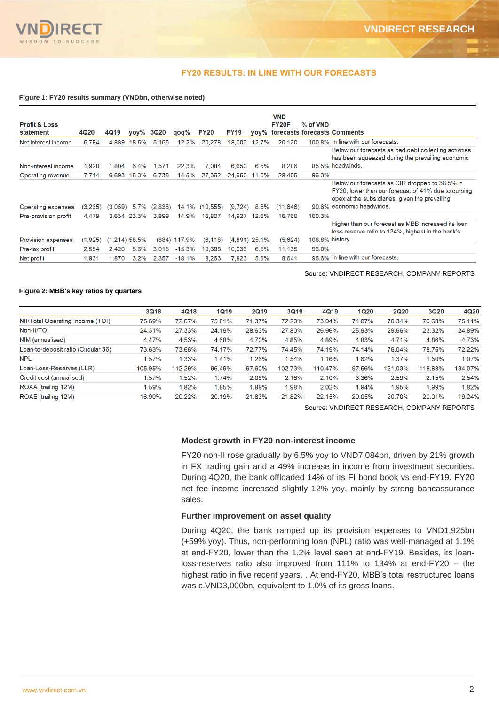

# **FY20 RESULTS: IN LINE WITH OUR FORECASTS**

#### **Figure 1: FY20 results summary (VNDbn, otherwise noted)**

| <b>Profit &amp; Loss</b><br>statement | 4Q20    | 4Q19            | vov%        | 3Q20    | qoq%             | <b>FY20</b> | <b>FY19</b>     |       | <b>VND</b><br>FY20F | % of VND        | yoy% forecasts forecasts Comments                                                                                                                                                    |
|---------------------------------------|---------|-----------------|-------------|---------|------------------|-------------|-----------------|-------|---------------------|-----------------|--------------------------------------------------------------------------------------------------------------------------------------------------------------------------------------|
| Net interest income                   | 5.794   | 4,889           | 18.5%       | 5.165   | 12.2%            | 20,278      | 18,000          | 12.7% | 20,120              |                 | 100.8% In line with our forecasts.                                                                                                                                                   |
| Non-interest income                   | 1.920   | 1.804           | 6.4%        | 1.571   | 22.3%            | 7.084       | 6.650           | 6.5%  | 8.286               |                 | Below our forecasts as bad debt collecting activities<br>has been squeezed during the prevailing economic<br>85.5% headwinds.                                                        |
| Operating revenue                     | 7.714   | 6,693           | 15.3%       | 6.735   | 14.5%            | 27,362      | 24,650          | 11.0% | 28,406              | 96.3%           |                                                                                                                                                                                      |
| Operating expenses                    | (3.235) | (3.059)         | 5.7%        | (2,836) | 14.1%            | (10.555)    | (9, 724)        | 8.6%  | (11.646)            |                 | Below our forecasts as CIR dropped to 38.5% in<br>FY20, lower than our forecast of 41% due to curbing<br>opex at the subsidiaries, given the prevailing<br>90.6% economic headwinds. |
| Pre-provision profit                  | 4.479   |                 | 3.634 23.3% | 3.899   | 14.9%            | 16.807      | 14.927          | 12.6% | 16.760              | 100.3%          |                                                                                                                                                                                      |
|                                       |         |                 |             |         |                  |             |                 |       |                     |                 | Higher than our forecast as MBB increased its loan<br>loss reserve ratio to 134%, highest in the bank's                                                                              |
| <b>Provision expenses</b>             | (1,925) | $(1,214)$ 58.5% |             |         | (884) 117.9%     | (6, 118)    | $(4,891)$ 25.1% |       | (5,624)             | 108.8% history. |                                                                                                                                                                                      |
| Pre-tax profit                        | 2,554   | 2.420           | 5.6%        |         | $3.015 - 15.3\%$ | 10.688      | 10.036          | 6.5%  | 11,135              | 96.0%           |                                                                                                                                                                                      |
| Net profit                            | 1.931   | 1.870           | 3.2%        | 2.357   | $-18.1%$         | 8.263       | 7.823           | 5.6%  | 8.641               |                 | 95.6% In line with our forecasts.                                                                                                                                                    |

Source: VNDIRECT RESEARCH, COMPANY REPORTS

### **Figure 2: MBB's key ratios by quarters**

|                                     | 3Q18    | 4Q18    | <b>1Q19</b> | <b>2Q19</b> | 3Q19    | 4Q19    | <b>1Q20</b> | <b>2Q20</b> | 3Q20    | 4Q20    |
|-------------------------------------|---------|---------|-------------|-------------|---------|---------|-------------|-------------|---------|---------|
| NII/Total Operating Income (TOI)    | 75.69%  | 72.67%  | 75.81%      | 71.37%      | 72.20%  | 73.04%  | 74.07%      | 70.34%      | 76.68%  | 75.11%  |
| Non-II/TOI                          | 24.31%  | 27.33%  | 24.19%      | 28.63%      | 27.80%  | 26.96%  | 25.93%      | 29.66%      | 23.32%  | 24.89%  |
| NIM (annualised)                    | 4.47%   | 4.53%   | 4.68%       | 4.70%       | 4.85%   | 4.89%   | 4.83%       | 4.71%       | 4.86%   | 4.73%   |
| Loan-to-deposit ratio (Circular 36) | 73.63%  | 73.66%  | 74.17%      | 72.77%      | 74.45%  | 74.19%  | 74.14%      | 76.04%      | 78.75%  | 72.22%  |
| <b>NPL</b>                          | .57%    | 1.33%   | 1.41%       | 1.26%       | 1.54%   | 1.16%   | 1.62%       | 1.37%       | 1.50%   | 1.07%   |
| Loan-Loss-Reserves (LLR)            | 105.95% | 112.29% | 96.49%      | 97.60%      | 102.73% | 110.47% | 97.56%      | 121.03%     | 118.88% | 134.07% |
| Credit cost (annualised)            | $.57\%$ | 1.52%   | 1.74%       | 2.08%       | 2.16%   | 2.10%   | 3.36%       | 2.59%       | 2.15%   | 2.54%   |
| ROAA (trailing 12M)                 | .59%    | 1.82%   | 1.85%       | 1.88%       | 1.98%   | 2.02%   | 1.94%       | 1.95%       | 1.99%   | 1.82%   |
| ROAE (trailing 12M)                 | 16.90%  | 20.22%  | 20.19%      | 21.83%      | 21.82%  | 22.15%  | 20.05%      | 20.70%      | 20.01%  | 19.24%  |

Source: VNDIRECT RESEARCH, COMPANY REPORTS

# **Modest growth in FY20 non-interest income**

FY20 non-II rose gradually by 6.5% yoy to VND7,084bn, driven by 21% growth in FX trading gain and a 49% increase in income from investment securities. During 4Q20, the bank offloaded 14% of its FI bond book vs end-FY19. FY20 net fee income increased slightly 12% yoy, mainly by strong bancassurance sales.

# **Further improvement on asset quality**

During 4Q20, the bank ramped up its provision expenses to VND1,925bn (+59% yoy). Thus, non-performing loan (NPL) ratio was well-managed at 1.1% at end-FY20, lower than the 1.2% level seen at end-FY19. Besides, its loanloss-reserves ratio also improved from 111% to 134% at end-FY20 – the highest ratio in five recent years. . At end-FY20, MBB's total restructured loans was c.VND3,000bn, equivalent to 1.0% of its gross loans.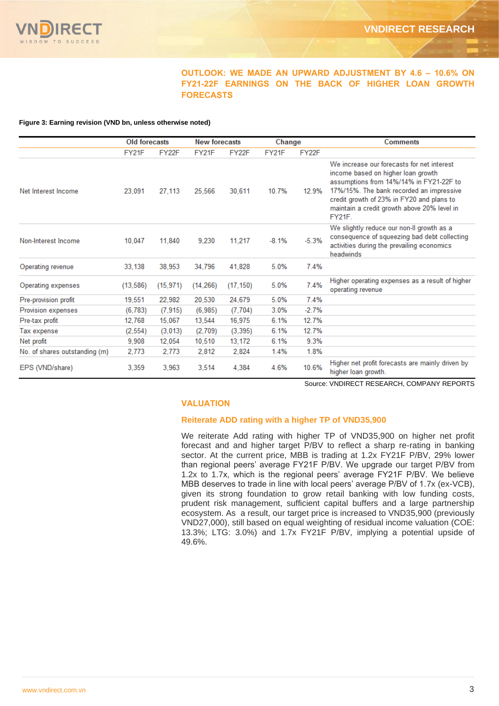

# **OUTLOOK: WE MADE AN UPWARD ADJUSTMENT BY 4.6 – 10.6% ON FY21-22F EARNINGS ON THE BACK OF HIGHER LOAN GROWTH FORECASTS**

#### **Figure 3: Earning revision (VND bn, unless otherwise noted)**

|                               | <b>Old forecasts</b> |           | <b>New forecasts</b> |           | Change  |         | <b>Comments</b>                                                                                                                                                                                                                                                                      |
|-------------------------------|----------------------|-----------|----------------------|-----------|---------|---------|--------------------------------------------------------------------------------------------------------------------------------------------------------------------------------------------------------------------------------------------------------------------------------------|
|                               | FY21F                | FY22F     | FY21F                | FY22F     | FY21F   | FY22F   |                                                                                                                                                                                                                                                                                      |
| Net Interest Income           | 23.091               | 27,113    | 25,566               | 30.611    | 10.7%   | 12.9%   | We increase our forecasts for net interest<br>income based on higher loan growth<br>assumptions from 14%/14% in FY21-22F to<br>17%/15%. The bank recorded an impressive<br>credit growth of 23% in FY20 and plans to<br>maintain a credit growth above 20% level in<br><b>FY21F.</b> |
| Non-Interest Income           | 10.047               | 11.840    | 9.230                | 11,217    | $-8.1%$ | $-5.3%$ | We slightly reduce our non-II growth as a<br>consequence of squeezing bad debt collecting<br>activities during the prevailing economics<br>headwinds                                                                                                                                 |
| Operating revenue             | 33,138               | 38,953    | 34,796               | 41.828    | 5.0%    | 7.4%    |                                                                                                                                                                                                                                                                                      |
| Operating expenses            | (13, 586)            | (15, 971) | (14, 266)            | (17, 150) | 5.0%    | 7.4%    | Higher operating expenses as a result of higher<br>operating revenue                                                                                                                                                                                                                 |
| Pre-provision profit          | 19,551               | 22,982    | 20,530               | 24,679    | 5.0%    | 7.4%    |                                                                                                                                                                                                                                                                                      |
| Provision expenses            | (6, 783)             | (7, 915)  | (6, 985)             | (7, 704)  | 3.0%    | $-2.7%$ |                                                                                                                                                                                                                                                                                      |
| Pre-tax profit                | 12,768               | 15,067    | 13,544               | 16,975    | 6.1%    | 12.7%   |                                                                                                                                                                                                                                                                                      |
| Tax expense                   | (2, 554)             | (3,013)   | (2,709)              | (3, 395)  | 6.1%    | 12.7%   |                                                                                                                                                                                                                                                                                      |
| Net profit                    | 9,908                | 12,054    | 10,510               | 13.172    | 6.1%    | 9.3%    |                                                                                                                                                                                                                                                                                      |
| No. of shares outstanding (m) | 2.773                | 2.773     | 2,812                | 2,824     | 1.4%    | 1.8%    |                                                                                                                                                                                                                                                                                      |
| EPS (VND/share)               | 3,359                | 3,963     | 3,514                | 4,384     | 4.6%    | 10.6%   | Higher net profit forecasts are mainly driven by<br>higher loan growth.                                                                                                                                                                                                              |

Source: VNDIRECT RESEARCH, COMPANY REPORTS

# **VALUATION**

# **Reiterate ADD rating with a higher TP of VND35,900**

We reiterate Add rating with higher TP of VND35,900 on higher net profit forecast and and higher target P/BV to reflect a sharp re-rating in banking sector. At the current price, MBB is trading at 1.2x FY21F P/BV, 29% lower than regional peers' average FY21F P/BV. We upgrade our target P/BV from 1.2x to 1.7x, which is the regional peers' average FY21F P/BV. We believe MBB deserves to trade in line with local peers' average P/BV of 1.7x (ex-VCB), given its strong foundation to grow retail banking with low funding costs, prudent risk management, sufficient capital buffers and a large partnership ecosystem. As a result, our target price is increased to VND35,900 (previously VND27,000), still based on equal weighting of residual income valuation (COE: 13.3%; LTG: 3.0%) and 1.7x FY21F P/BV, implying a potential upside of 49.6%.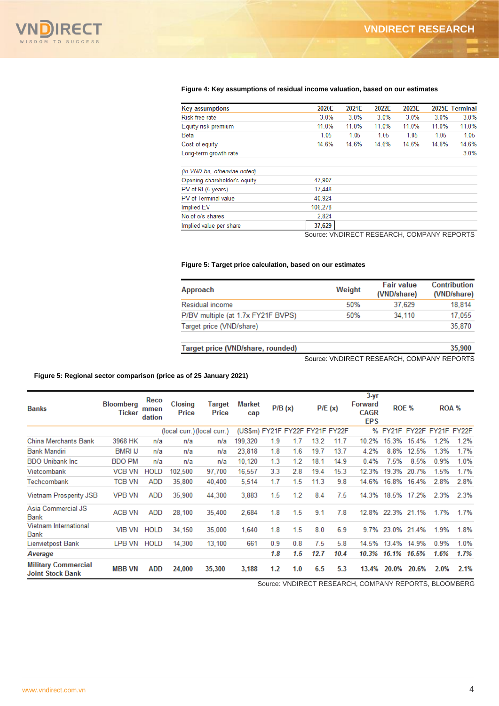

#### **Figure 4: Key assumptions of residual income valuation, based on our estimates**

| <b>Key assumptions</b>       | 2020E   | 2021E | 2022E | 2023E |       | 2025E Terminal |
|------------------------------|---------|-------|-------|-------|-------|----------------|
| <b>Risk free rate</b>        | 3.0%    | 3.0%  | 3.0%  | 3.0%  | 3.0%  | 3.0%           |
| Equity risk premium          | 11.0%   | 11.0% | 11.0% | 11.0% | 11.0% | 11.0%          |
| <b>Beta</b>                  | 1.05    | 1.05  | 1.05  | 1.05  | 1.05  | 1.05           |
| Cost of equity               | 14.6%   | 14.6% | 14.6% | 14.6% | 14.6% | 14.6%          |
| Long-term growth rate        |         |       |       |       |       | 3.0%           |
| (in VND bn, otherwise noted) |         |       |       |       |       |                |
| Opening shareholder's equity | 47.907  |       |       |       |       |                |
| PV of RI (5 years)           | 17,448  |       |       |       |       |                |
| PV of Terminal value         | 40.924  |       |       |       |       |                |
| <b>Implied EV</b>            | 106,278 |       |       |       |       |                |
| No.of o/s shares             | 2,824   |       |       |       |       |                |
| Implied value per share      | 37,629  |       |       |       |       |                |

Source: VNDIRECT RESEARCH, COMPANY REPORTS

# **Figure 5: Target price calculation, based on our estimates**

| Approach                           | Weight | <b>Fair value</b><br>(VND/share) | Contribution<br>(VND/share) |
|------------------------------------|--------|----------------------------------|-----------------------------|
| Residual income                    | 50%    | 37.629                           | 18.814                      |
| P/BV multiple (at 1.7x FY21F BVPS) | 50%    | 34,110                           | 17.055                      |
| Target price (VND/share)           |        |                                  | 35,870                      |
| Target price (VND/share, rounded)  |        |                                  | 35,900                      |

Source: VNDIRECT RESEARCH, COMPANY REPORTS

#### **Figure 5: Regional sector comparison (price as of 25 January 2021)**

| <b>Banks</b>                                          | <b>Bloomberg</b><br>Ticker | Reco<br>mmen<br>dation | <b>Closing</b><br>Price     | Target<br>Price | <b>Market</b><br>cap            | P/B(x) |     |      | PIE(x) | $3 - yr$<br>Forward<br><b>CAGR</b><br><b>EPS</b> | ROE % |       |                         | ROA % |
|-------------------------------------------------------|----------------------------|------------------------|-----------------------------|-----------------|---------------------------------|--------|-----|------|--------|--------------------------------------------------|-------|-------|-------------------------|-------|
|                                                       |                            |                        | (local curr.) (local curr.) |                 | (US\$m) FY21F FY22F FY21F FY22F |        |     |      |        | %                                                |       |       | FY21F FY22F FY21F FY22F |       |
| <b>China Merchants Bank</b>                           | 3968 HK                    | n/a                    | n/a                         | n/a             | 199,320                         | 1.9    | 1.7 | 13.2 | 11.7   | 10.2%                                            | 15.3% | 15.4% | 1.2%                    | 1.2%  |
| <b>Bank Mandiri</b>                                   | <b>BMRI IJ</b>             | n/a                    | n/a                         | n/a             | 23,818                          | 1.8    | 1.6 | 19.7 | 13.7   | 4.2%                                             | 8.8%  | 12.5% | 1.3%                    | 1.7%  |
| <b>BDO Unibank Inc.</b>                               | <b>BDO PM</b>              | n/a                    | n/a                         | n/a             | 10,120                          | 1.3    | 1.2 | 18.1 | 14.9   | 0.4%                                             | 7.5%  | 8.5%  | 0.9%                    | 1.0%  |
| Vietcombank                                           | VCB VN                     | <b>HOLD</b>            | 102,500                     | 97,700          | 16,557                          | 3.3    | 2.8 | 19.4 | 15.3   | 12.3%                                            | 19.3% | 20.7% | 1.5%                    | 1.7%  |
| Techcombank                                           | <b>TCB VN</b>              | ADD                    | 35.800                      | 40.400          | 5.514                           | 1.7    | 1.5 | 11.3 | 9.8    | 14.6%                                            | 16.8% | 16.4% | 2.8%                    | 2.8%  |
| Vietnam Prosperity JSB                                | VPB VN                     | ADD                    | 35,900                      | 44,300          | 3,883                           | 1.5    | 1.2 | 8.4  | 7.5    | 14.3%                                            | 18.5% | 17.2% | 2.3%                    | 2.3%  |
| Asia Commercial JS<br><b>Bank</b>                     | ACB VN                     | <b>ADD</b>             | 28,100                      | 35,400          | 2.684                           | 1.8    | 1.5 | 9.1  | 7.8    | 12.8%                                            | 22.3% | 21.1% | 1.7%                    | 1.7%  |
| <b>Vietnam International</b><br><b>Bank</b>           | VIB VN                     | <b>HOLD</b>            | 34,150                      | 35,000          | 1.640                           | 1.8    | 1.5 | 8.0  | 6.9    | 9.7%                                             | 23.0% | 21.4% | 1.9%                    | 1.8%  |
| Lienvietpost Bank                                     | LPB VN                     | <b>HOLD</b>            | 14.300                      | 13,100          | 661                             | 0.9    | 0.8 | 7.5  | 5.8    | 14.5%                                            | 13.4% | 14.9% | 0.9%                    | 1.0%  |
| Average                                               |                            |                        |                             |                 |                                 | 1.8    | 1.5 | 12.7 | 10.4   | 10.3%                                            | 16.1% | 16.5% | 1.6%                    | 1.7%  |
| <b>Military Commercial</b><br><b>Joint Stock Bank</b> | <b>MBB VN</b>              | ADD                    | 24,000                      | 35,300          | 3,188                           | 1.2    | 1.0 | 6.5  | 5.3    | 13.4%                                            | 20.0% | 20.6% | 2.0%                    | 2.1%  |

Source: VNDIRECT RESEARCH, COMPANY REPORTS, BLOOMBERG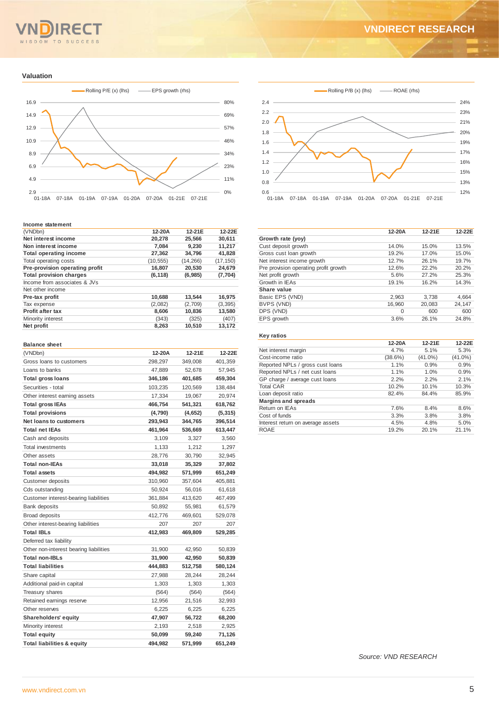# **VNDIRECT RESEARCH**



#### **Valuation**



#### **Income statement**

| (VNDbn)                        | 12-20A    | $12-21F$  | 12-22E    |
|--------------------------------|-----------|-----------|-----------|
| Net interest income            | 20,278    | 25,566    | 30,611    |
| Non interest income            | 7.084     | 9.230     | 11.217    |
| <b>Total operating income</b>  | 27,362    | 34,796    | 41,828    |
| Total operating costs          | (10, 555) | (14, 266) | (17, 150) |
| Pre-provision operating profit | 16,807    | 20,530    | 24,679    |
| <b>Total provision charges</b> | (6, 118)  | (6,985)   | (7,704)   |
| Income from associates & JVs   |           |           |           |
| Net other income               |           |           |           |
| Pre-tax profit                 | 10,688    | 13.544    | 16,975    |
| Tax expense                    | (2,082)   | (2,709)   | (3, 395)  |
| <b>Profit after tax</b>        | 8,606     | 10,836    | 13,580    |
| Minority interest              | (343)     | (325)     | (407)     |
| Net profit                     | 8,263     | 10,510    | 13,172    |

#### **Balance sheet**

| (VNDbn)                                | 12-20A  | 12-21E  | 12-22E   |
|----------------------------------------|---------|---------|----------|
| Gross loans to customers               | 298,297 | 349,008 | 401,359  |
| Loans to banks                         | 47,889  | 52,678  | 57,945   |
| Total gross loans                      | 346,186 | 401,685 | 459,304  |
| Securities - total                     | 103,235 | 120,569 | 138,484  |
| Other interest earning assets          | 17,334  | 19,067  | 20,974   |
| <b>Total gross IEAs</b>                | 466,754 | 541,321 | 618,762  |
| <b>Total provisions</b>                | (4,790) | (4,652) | (5, 315) |
| <b>Net loans to customers</b>          | 293,943 | 344,765 | 396,514  |
| <b>Total net IEAs</b>                  | 461,964 | 536,669 | 613,447  |
| Cash and deposits                      | 3,109   | 3,327   | 3,560    |
| <b>Total investments</b>               | 1,133   | 1,212   | 1,297    |
| Other assets                           | 28,776  | 30,790  | 32,945   |
| <b>Total non-IEAs</b>                  | 33,018  | 35,329  | 37,802   |
| <b>Total assets</b>                    | 494,982 | 571,999 | 651,249  |
| <b>Customer deposits</b>               | 310,960 | 357,604 | 405,881  |
| Cds outstanding                        | 50,924  | 56,016  | 61,618   |
| Customer interest-bearing liabilities  | 361,884 | 413,620 | 467,499  |
| <b>Bank deposits</b>                   | 50,892  | 55,981  | 61,579   |
| <b>Broad deposits</b>                  | 412,776 | 469,601 | 529,078  |
| Other interest-bearing liabilities     | 207     | 207     | 207      |
| <b>Total IBLs</b>                      | 412,983 | 469,809 | 529,285  |
| Deferred tax liability                 |         |         |          |
| Other non-interest bearing liabilities | 31,900  | 42,950  | 50,839   |
| <b>Total non-IBLs</b>                  | 31,900  | 42,950  | 50,839   |
| <b>Total liabilities</b>               | 444,883 | 512,758 | 580,124  |
| Share capital                          | 27,988  | 28,244  | 28,244   |
| Additional paid-in capital             | 1,303   | 1,303   | 1,303    |
| <b>Treasury shares</b>                 | (564)   | (564)   | (564)    |
| Retained earnings reserve              | 12,956  | 21,516  | 32,993   |
| Other reserves                         | 6,225   | 6,225   | 6,225    |
| <b>Shareholders' equity</b>            | 47,907  | 56,722  | 68,200   |
| Minority interest                      | 2,193   | 2,518   | 2,925    |
| <b>Total equity</b>                    | 50,099  | 59,240  | 71,126   |
| <b>Total liabilities &amp; equity</b>  | 494,982 | 571,999 | 651,249  |



| 12-20A   | 12-21E | 12-22E |
|----------|--------|--------|
|          |        |        |
| 14.0%    | 15.0%  | 13.5%  |
| 19.2%    | 17.0%  | 15.0%  |
| 12.7%    | 26.1%  | 19.7%  |
| 12.6%    | 22.2%  | 20.2%  |
| 5.6%     | 27.2%  | 25.3%  |
| 19.1%    | 16.2%  | 14.3%  |
|          |        |        |
| 2,963    | 3.738  | 4,664  |
| 16,960   | 20.083 | 24,147 |
| $\Omega$ | 600    | 600    |
| 3.6%     | 26.1%  | 24.8%  |
|          |        |        |

#### **Key ratios**

|                                   | 12-20A  | 12-21E     | 12-22E     |
|-----------------------------------|---------|------------|------------|
| Net interest margin               | 4.7%    | 5.1%       | 5.3%       |
| Cost-income ratio                 | (38.6%) | $(41.0\%)$ | $(41.0\%)$ |
| Reported NPLs / gross cust loans  | 1.1%    | 0.9%       | 0.9%       |
| Reported NPLs / net cust loans    | 1.1%    | 1.0%       | 0.9%       |
| GP charge / average cust loans    | 2.2%    | 2.2%       | 2.1%       |
| <b>Total CAR</b>                  | 10.2%   | 10.1%      | 10.3%      |
| Loan deposit ratio                | 82.4%   | 84.4%      | 85.9%      |
| <b>Margins and spreads</b>        |         |            |            |
| Return on IEAs                    | 7.6%    | 8.4%       | 8.6%       |
| Cost of funds                     | 3.3%    | 3.8%       | 3.8%       |
| Interest return on average assets | 4.5%    | 4.8%       | 5.0%       |
| <b>ROAE</b>                       | 19.2%   | 20.1%      | 21.1%      |